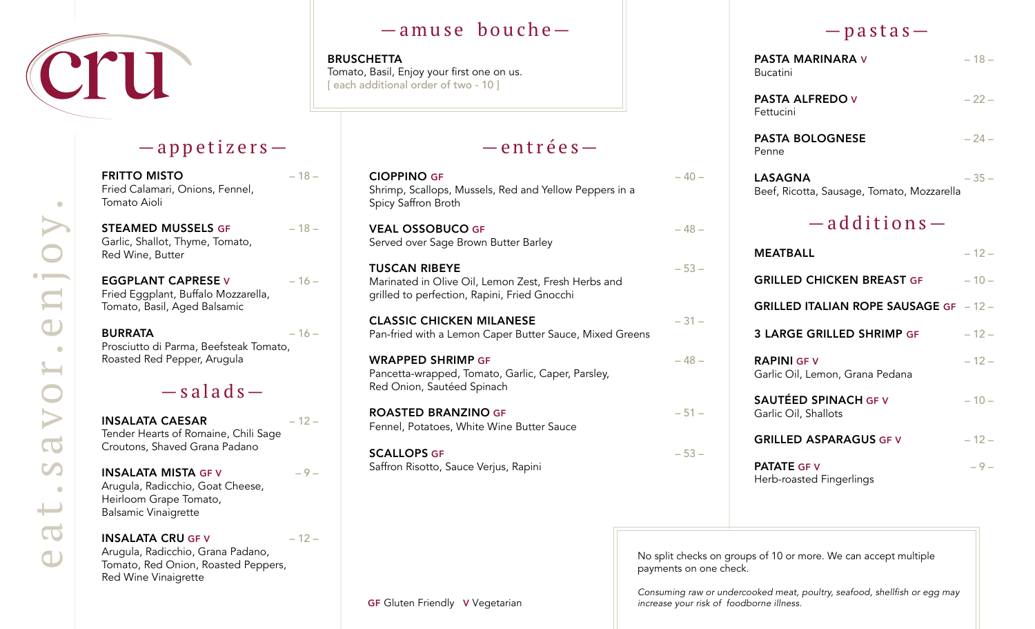

### —appetizers—

FRITTO MISTO – 18 – Fried Calamari, Onions, Fennel, Tomato Aioli

STEAMED MUSSELS GF - 18 -Garlic, Shallot, Thyme, Tomato, Red Wine, Butter

EGGPLANT CAPRESE V - 16 -Fried Eggplant, Buffalo Mozzarella, Tomato, Basil, Aged Balsamic

 $BURRATA$   $-16$   $-$ Prosciutto di Parma, Beefsteak Tomato, Roasted Red Pepper, Arugula

# $-$ salads $-$

INSALATA CAESAR – 12 – Tender Hearts of Romaine, Chili Sage Croutons, Shaved Grana Padano

INSALATA MISTA GF V  $-9-$ Arugula, Radicchio, Goat Cheese, Heirloom Grape Tomato, Balsamic Vinaigrette

#### INSALATA CRU GF V  $-12-$ Arugula, Radicchio, Grana Padano, Tomato, Red Onion, Roasted Peppers, Red Wine Vinaigrette

## —amuse bouche—

BRUSCHETTA Tomato, Basil, Enjoy your first one on us. [ each additional order of two - 10 ]

# —entrées—

| <b>CIOPPINO GF</b><br>Shrimp, Scallops, Mussels, Red and Yellow Peppers in a<br>Spicy Saffron Broth                         | $-40-$ |
|-----------------------------------------------------------------------------------------------------------------------------|--------|
| <b>VEAL OSSOBUCO GF</b><br>Served over Sage Brown Butter Barley                                                             | $-48-$ |
| <b>TUSCAN RIBEYE</b><br>Marinated in Olive Oil, Lemon Zest, Fresh Herbs and<br>grilled to perfection, Rapini, Fried Gnocchi | $-53-$ |
| <b>CLASSIC CHICKEN MILANESE</b><br>Pan-fried with a Lemon Caper Butter Sauce, Mixed Greens                                  | $-31-$ |
| WRAPPED SHRIMP GF<br>Pancetta-wrapped, Tomato, Garlic, Caper, Parsley,<br>Red Onion, Sautéed Spinach                        | $-48-$ |
| <b>ROASTED BRANZINO GF</b><br>Fennel, Potatoes, White Wine Butter Sauce                                                     | $-51-$ |
| <b>SCALLOPS GF</b><br>Saffron Risotto, Sauce Verjus, Rapini                                                                 | $-53-$ |
|                                                                                                                             |        |

### $-p$  as tas  $-$

| <b>PASTA MARINARA V</b><br><b>Bucatini</b>                   | $-18-$ |
|--------------------------------------------------------------|--------|
| <b>PASTA ALFREDO V</b><br>Fettucini                          | $-22-$ |
| <b>PASTA BOLOGNESE</b><br>Penne                              | $-24-$ |
| <b>LASAGNA</b><br>Beef, Ricotta, Sausage, Tomato, Mozzarella | $-35-$ |
| $-$ additions $-$                                            |        |
| <b>MEATBALL</b>                                              | $-12-$ |
| <b>GRILLED CHICKEN BREAST GF</b>                             | $-10-$ |
| GRILLED ITALIAN ROPE SAUSAGE GF - 12-                        |        |
| <b>3 LARGE GRILLED SHRIMP GF</b>                             | $-12-$ |
| <b>RAPINI GF V</b><br>Garlic Oil, Lemon, Grana Pedana        | $-12-$ |
| <b>SAUTÉED SPINACH GF V</b><br>Garlic Oil, Shallots          | $-10-$ |
| <b>GRILLED ASPARAGUS GF V</b>                                | $-12-$ |
| <b>PATATE GF V</b><br>Herb-roasted Fingerlings               | $-9-$  |

No split checks on groups of 10 or more. We can accept multiple payments on one check.

Consuming raw or undercooked meat, poultry, seafood, shellfish or egg may *increase your risk of foodborne illness.*